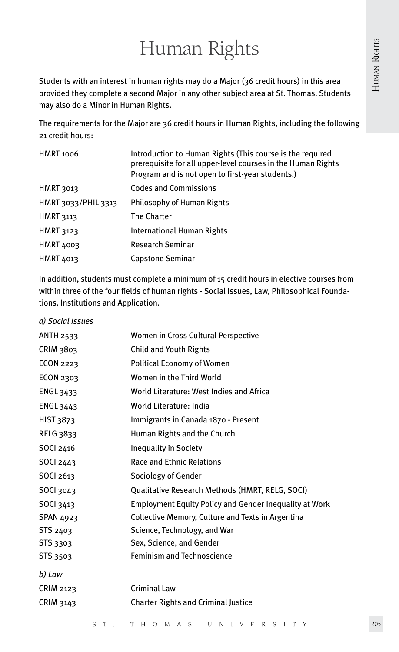# Human Rights

Students with an interest in human rights may do a Major (36 credit hours) in this area provided they complete a second Major in any other subject area at St. Thomas. Students may also do a Minor in Human Rights.

The requirements for the Major are 36 credit hours in Human Rights, including the following 21 credit hours:

| <b>HMRT 1006</b>    | Introduction to Human Rights (This course is the required<br>prerequisite for all upper-level courses in the Human Rights<br>Program and is not open to first-year students.) |
|---------------------|-------------------------------------------------------------------------------------------------------------------------------------------------------------------------------|
| HMRT 3013           | <b>Codes and Commissions</b>                                                                                                                                                  |
| HMRT 3033/PHIL 3313 | Philosophy of Human Rights                                                                                                                                                    |
| <b>HMRT 3113</b>    | <b>The Charter</b>                                                                                                                                                            |
| <b>HMRT 3123</b>    | International Human Rights                                                                                                                                                    |
| <b>HMRT 4003</b>    | <b>Research Seminar</b>                                                                                                                                                       |
| HMRT 4013           | Capstone Seminar                                                                                                                                                              |

In addition, students must complete a minimum of 15 credit hours in elective courses from within three of the four fields of human rights - Social Issues, Law, Philosophical Foundations, Institutions and Application.

| a) Social Issues |                                                               |
|------------------|---------------------------------------------------------------|
| <b>ANTH 2533</b> | Women in Cross Cultural Perspective                           |
| CRIM 3803        | <b>Child and Youth Rights</b>                                 |
| <b>ECON 2223</b> | Political Economy of Women                                    |
| ECON 2303        | Women in the Third World                                      |
| ENGL 3433        | World Literature: West Indies and Africa                      |
| <b>ENGL 3443</b> | World Literature: India                                       |
| HIST 3873        | Immigrants in Canada 1870 - Present                           |
| <b>RELG 3833</b> | Human Rights and the Church                                   |
| SOCI 2416        | <b>Inequality in Society</b>                                  |
| SOCI 2443        | <b>Race and Ethnic Relations</b>                              |
| <b>SOCI 2613</b> | Sociology of Gender                                           |
| SOCI 3043        | Qualitative Research Methods (HMRT, RELG, SOCI)               |
| SOCI 3413        | <b>Employment Equity Policy and Gender Inequality at Work</b> |
| <b>SPAN 4923</b> | Collective Memory, Culture and Texts in Argentina             |
| STS 2403         | Science, Technology, and War                                  |
| <b>STS 3303</b>  | Sex, Science, and Gender                                      |
| <b>STS 3503</b>  | <b>Feminism and Technoscience</b>                             |
| b) Law           |                                                               |
| <b>CRIM 2123</b> | Criminal Law                                                  |
| CRIM 3143        | <b>Charter Rights and Criminal Justice</b>                    |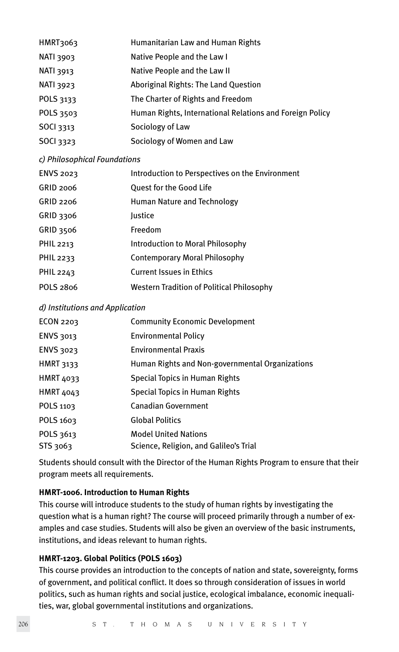| HMRT3063         | Humanitarian Law and Human Rights                        |
|------------------|----------------------------------------------------------|
| <b>NATI 3903</b> | Native People and the Law I                              |
| NATI 3913        | Native People and the Law II                             |
| <b>NATI 3923</b> | Aboriginal Rights: The Land Question                     |
| POLS 3133        | The Charter of Rights and Freedom                        |
| POLS 3503        | Human Rights, International Relations and Foreign Policy |
| <b>SOCI</b> 3313 | Sociology of Law                                         |
| <b>SOCI</b> 3323 | Sociology of Women and Law                               |

## *c) Philosophical Foundations*

| <b>ENVS 2023</b> | Introduction to Perspectives on the Environment  |
|------------------|--------------------------------------------------|
| GRID 2006        | Quest for the Good Life                          |
| GRID 2206        | Human Nature and Technology                      |
| GRID 3306        | lustice                                          |
| <b>GRID 3506</b> | Freedom                                          |
| PHIL 2213        | <b>Introduction to Moral Philosophy</b>          |
| PHIL 2233        | <b>Contemporary Moral Philosophy</b>             |
| PHIL 2243        | <b>Current Issues in Ethics</b>                  |
| POLS 2806        | <b>Western Tradition of Political Philosophy</b> |

#### *d) Institutions and Application*

| ECON 2203        | <b>Community Economic Development</b>           |
|------------------|-------------------------------------------------|
| <b>ENVS 3013</b> | <b>Environmental Policy</b>                     |
| ENVS 3023        | <b>Environmental Praxis</b>                     |
| <b>HMRT 3133</b> | Human Rights and Non-governmental Organizations |
| <b>HMRT 4033</b> | Special Topics in Human Rights                  |
| <b>HMRT 4043</b> | Special Topics in Human Rights                  |
| POLS 1103        | <b>Canadian Government</b>                      |
| POLS 1603        | <b>Global Politics</b>                          |
| POLS 3613        | <b>Model United Nations</b>                     |
| STS 3063         | Science, Religion, and Galileo's Trial          |
|                  |                                                 |

Students should consult with the Director of the Human Rights Program to ensure that their program meets all requirements.

#### **HMRT-1006. Introduction to Human Rights**

This course will introduce students to the study of human rights by investigating the question what is a human right? The course will proceed primarily through a number of examples and case studies. Students will also be given an overview of the basic instruments, institutions, and ideas relevant to human rights.

#### **HMRT-1203. Global Politics (POLS 1603)**

This course provides an introduction to the concepts of nation and state, sovereignty, forms of government, and political conflict. It does so through consideration of issues in world politics, such as human rights and social justice, ecological imbalance, economic inequalities, war, global governmental institutions and organizations.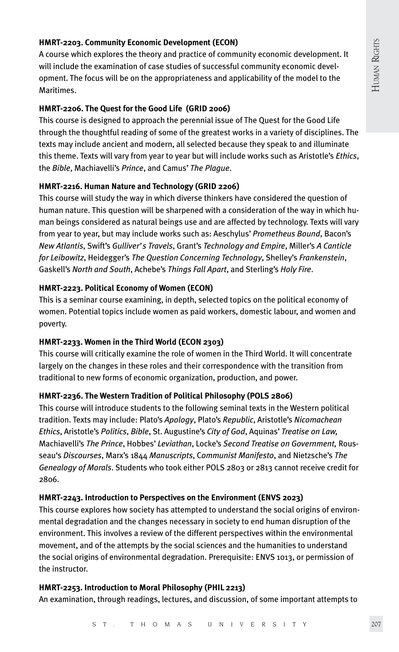## **HMRT-2203. Community Economic Development (ECON)**

A course which explores the theory and practice of community economic development. It will include the examination of case studies of successful community economic development. The focus will be on the appropriateness and applicability of the model to the Maritimes.

### **HMRT-2206. The Quest for the Good Life (GRID 2006)**

This course is designed to approach the perennial issue of The Quest for the Good Life through the thoughtful reading of some of the greatest works in a variety of disciplines. The texts may include ancient and modern, all selected because they speak to and illuminate this theme. Texts will vary from year to year but will include works such as Aristotle's *Ethics*, the *Bible*, Machiavelli's *Prince*, and Camus' *The Plague*.

## **HMRT-2216. Human Nature and Technology (GRID 2206)**

This course will study the way in which diverse thinkers have considered the question of human nature. This question will be sharpened with a consideration of the way in which human beings considered as natural beings use and are affected by technology. Texts will vary from year to year, but may include works such as: Aeschylus' *Prometheus Bound*, Bacon's *New Atlantis*, Swift's *Gulliver's Travels*, Grant's *Technology and Empire*, Miller's *A Canticle for Leibowitz*, Heidegger's *The Question Concerning Technology*, Shelley's *Frankenstein*, Gaskell's *North and South*, Achebe's *Things Fall Apart*, and Sterling's *Holy Fire*.

#### **HMRT-2223. Political Economy of Women (ECON)**

This is a seminar course examining, in depth, selected topics on the political economy of women. Potential topics include women as paid workers, domestic labour, and women and poverty.

#### **HMRT-2233. Women in the Third World (ECON 2303)**

This course will critically examine the role of women in the Third World. It will concentrate largely on the changes in these roles and their correspondence with the transition from traditional to new forms of economic organization, production, and power.

## **HMRT-2236. The Western Tradition of Political Philosophy (POLS 2806)**

This course will introduce students to the following seminal texts in the Western political tradition. Texts may include: Plato's *Apology*, Plato's *Republic*, Aristotle's *Nicomachean Ethics*, Aristotle's *Politics*, *Bible*, St. Augustine's *City of God*, Aquinas' *Treatise on Law,*  Machiavelli's *The Prince*, Hobbes' *Leviathan*, Locke's *Second Treatise on Government,* Rousseau's *Discourses*, Marx's 1844 *Manuscripts*, C*ommunist Manifesto*, and Nietzsche's *The Genealogy of Morals*. Students who took either POLS 2803 or 2813 cannot receive credit for 2806.

## **HMRT-2243. Introduction to Perspectives on the Environment (ENVS 2023)**

This course explores how society has attempted to understand the social origins of environmental degradation and the changes necessary in society to end human disruption of the environment. This involves a review of the different perspectives within the environmental movement, and of the attempts by the social sciences and the humanities to understand the social origins of environmental degradation. Prerequisite: ENVS 1013, or permission of the instructor.

#### **HMRT-2253. Introduction to Moral Philosophy (PHIL 2213)**

An examination, through readings, lectures, and discussion, of some important attempts to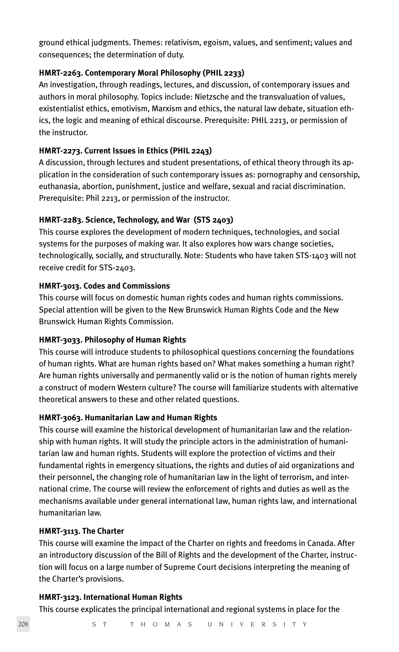ground ethical judgments. Themes: relativism, egoism, values, and sentiment; values and consequences; the determination of duty.

## **HMRT-2263. Contemporary Moral Philosophy (PHIL 2233)**

An investigation, through readings, lectures, and discussion, of contemporary issues and authors in moral philosophy. Topics include: Nietzsche and the transvaluation of values, existentialist ethics, emotivism, Marxism and ethics, the natural law debate, situation ethics, the logic and meaning of ethical discourse. Prerequisite: PHIL 2213, or permission of the instructor.

## **HMRT-2273. Current Issues in Ethics (PHIL 2243)**

A discussion, through lectures and student presentations, of ethical theory through its application in the consideration of such contemporary issues as: pornography and censorship, euthanasia, abortion, punishment, justice and welfare, sexual and racial discrimination. Prerequisite: Phil 2213, or permission of the instructor.

# **HMRT-2283. Science, Technology, and War (STS 2403)**

This course explores the development of modern techniques, technologies, and social systems for the purposes of making war. It also explores how wars change societies, technologically, socially, and structurally. Note: Students who have taken STS-1403 will not receive credit for STS-2403.

## **HMRT-3013. Codes and Commissions**

This course will focus on domestic human rights codes and human rights commissions. Special attention will be given to the New Brunswick Human Rights Code and the New Brunswick Human Rights Commission.

## **HMRT-3033. Philosophy of Human Rights**

This course will introduce students to philosophical questions concerning the foundations of human rights. What are human rights based on? What makes something a human right? Are human rights universally and permanently valid or is the notion of human rights merely a construct of modern Western culture? The course will familiarize students with alternative theoretical answers to these and other related questions.

#### **HMRT-3063. Humanitarian Law and Human Rights**

This course will examine the historical development of humanitarian law and the relationship with human rights. It will study the principle actors in the administration of humanitarian law and human rights. Students will explore the protection of victims and their fundamental rights in emergency situations, the rights and duties of aid organizations and their personnel, the changing role of humanitarian law in the light of terrorism, and international crime. The course will review the enforcement of rights and duties as well as the mechanisms available under general international law, human rights law, and international humanitarian law.

#### **HMRT-3113. The Charter**

This course will examine the impact of the Charter on rights and freedoms in Canada. After an introductory discussion of the Bill of Rights and the development of the Charter, instruction will focus on a large number of Supreme Court decisions interpreting the meaning of the Charter's provisions.

#### **HMRT-3123. International Human Rights**

This course explicates the principal international and regional systems in place for the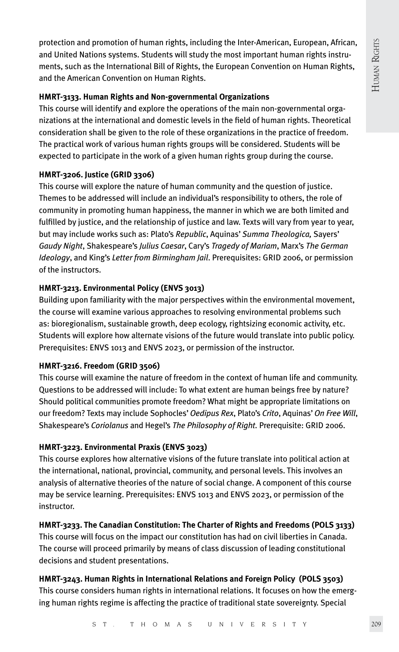protection and promotion of human rights, including the Inter-American, European, African, and United Nations systems. Students will study the most important human rights instruments, such as the International Bill of Rights, the European Convention on Human Rights, and the American Convention on Human Rights.

## **HMRT-3133. Human Rights and Non-governmental Organizations**

This course will identify and explore the operations of the main non-governmental organizations at the international and domestic levels in the field of human rights. Theoretical consideration shall be given to the role of these organizations in the practice of freedom. The practical work of various human rights groups will be considered. Students will be expected to participate in the work of a given human rights group during the course.

# **HMRT-3206. Justice (GRID 3306)**

This course will explore the nature of human community and the question of justice. Themes to be addressed will include an individual's responsibility to others, the role of community in promoting human happiness, the manner in which we are both limited and fulfilled by justice, and the relationship of justice and law. Texts will vary from year to year, but may include works such as: Plato's *Republic*, Aquinas' *Summa Theologica,* Sayers' *Gaudy Night*, Shakespeare's *Julius Caesar*, Cary's *Tragedy of Mariam*, Marx's *The German Ideology*, and King's *Letter from Birmingham Jail*. Prerequisites: GRID 2006, or permission of the instructors.

# **HMRT-3213. Environmental Policy (ENVS 3013)**

Building upon familiarity with the major perspectives within the environmental movement, the course will examine various approaches to resolving environmental problems such as: bioregionalism, sustainable growth, deep ecology, rightsizing economic activity, etc. Students will explore how alternate visions of the future would translate into public policy. Prerequisites: ENVS 1013 and ENVS 2023, or permission of the instructor.

# **HMRT-3216. Freedom (GRID 3506)**

This course will examine the nature of freedom in the context of human life and community. Questions to be addressed will include: To what extent are human beings free by nature? Should political communities promote freedom? What might be appropriate limitations on our freedom? Texts may include Sophocles' *Oedipus Rex*, Plato's *Crito*, Aquinas' *On Free Will*, Shakespeare's *Coriolanus* and Hegel's *The Philosophy of Right.* Prerequisite: GRID 2006.

# **HMRT-3223. Environmental Praxis (ENVS 3023)**

This course explores how alternative visions of the future translate into political action at the international, national, provincial, community, and personal levels. This involves an analysis of alternative theories of the nature of social change. A component of this course may be service learning. Prerequisites: ENVS 1013 and ENVS 2023, or permission of the instructor.

# **HMRT-3233. The Canadian Constitution: The Charter of Rights and Freedoms (POLS 3133)**

This course will focus on the impact our constitution has had on civil liberties in Canada. The course will proceed primarily by means of class discussion of leading constitutional decisions and student presentations.

# **HMRT-3243. Human Rights in International Relations and Foreign Policy (POLS 3503)**

This course considers human rights in international relations. It focuses on how the emerging human rights regime is affecting the practice of traditional state sovereignty. Special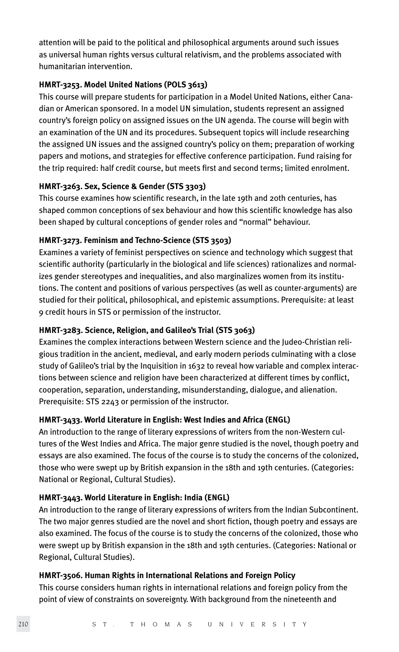attention will be paid to the political and philosophical arguments around such issues as universal human rights versus cultural relativism, and the problems associated with humanitarian intervention.

## **HMRT-3253. Model United Nations (POLS 3613)**

This course will prepare students for participation in a Model United Nations, either Canadian or American sponsored. In a model UN simulation, students represent an assigned country's foreign policy on assigned issues on the UN agenda. The course will begin with an examination of the UN and its procedures. Subsequent topics will include researching the assigned UN issues and the assigned country's policy on them; preparation of working papers and motions, and strategies for effective conference participation. Fund raising for the trip required: half credit course, but meets first and second terms; limited enrolment.

## **HMRT-3263. Sex, Science & Gender (STS 3303)**

This course examines how scientific research, in the late 19th and 20th centuries, has shaped common conceptions of sex behaviour and how this scientific knowledge has also been shaped by cultural conceptions of gender roles and "normal" behaviour.

## **HMRT-3273. Feminism and Techno-Science (STS 3503)**

Examines a variety of feminist perspectives on science and technology which suggest that scientific authority (particularly in the biological and life sciences) rationalizes and normalizes gender stereotypes and inequalities, and also marginalizes women from its institutions. The content and positions of various perspectives (as well as counter-arguments) are studied for their political, philosophical, and epistemic assumptions. Prerequisite: at least 9 credit hours in STS or permission of the instructor.

## **HMRT-3283. Science, Religion, and Galileo's Trial (STS 3063)**

Examines the complex interactions between Western science and the Judeo-Christian religious tradition in the ancient, medieval, and early modern periods culminating with a close study of Galileo's trial by the Inquisition in 1632 to reveal how variable and complex interactions between science and religion have been characterized at different times by conflict, cooperation, separation, understanding, misunderstanding, dialogue, and alienation. Prerequisite: STS 2243 or permission of the instructor.

## **HMRT-3433. World Literature in English: West Indies and Africa (ENGL)**

An introduction to the range of literary expressions of writers from the non-Western cultures of the West Indies and Africa. The major genre studied is the novel, though poetry and essays are also examined. The focus of the course is to study the concerns of the colonized, those who were swept up by British expansion in the 18th and 19th centuries. (Categories: National or Regional, Cultural Studies).

## **HMRT-3443. World Literature in English: India (ENGL)**

An introduction to the range of literary expressions of writers from the Indian Subcontinent. The two major genres studied are the novel and short fiction, though poetry and essays are also examined. The focus of the course is to study the concerns of the colonized, those who were swept up by British expansion in the 18th and 19th centuries. (Categories: National or Regional, Cultural Studies).

#### **HMRT-3506. Human Rights in International Relations and Foreign Policy**

This course considers human rights in international relations and foreign policy from the point of view of constraints on sovereignty. With background from the nineteenth and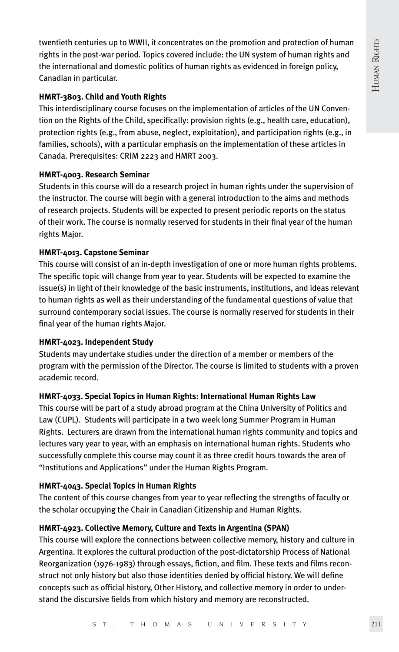twentieth centuries up to WWII, it concentrates on the promotion and protection of human rights in the post-war period. Topics covered include: the UN system of human rights and the international and domestic politics of human rights as evidenced in foreign policy, Canadian in particular.

# **HMRT-3803. Child and Youth Rights**

This interdisciplinary course focuses on the implementation of articles of the UN Convention on the Rights of the Child, specifically: provision rights (e.g., health care, education), protection rights (e.g., from abuse, neglect, exploitation), and participation rights (e.g., in families, schools), with a particular emphasis on the implementation of these articles in Canada. Prerequisites: CRIM 2223 and HMRT 2003.

# **HMRT-4003. Research Seminar**

Students in this course will do a research project in human rights under the supervision of the instructor. The course will begin with a general introduction to the aims and methods of research projects. Students will be expected to present periodic reports on the status of their work. The course is normally reserved for students in their final year of the human rights Major.

# **HMRT-4013. Capstone Seminar**

This course will consist of an in-depth investigation of one or more human rights problems. The specific topic will change from year to year. Students will be expected to examine the issue(s) in light of their knowledge of the basic instruments, institutions, and ideas relevant to human rights as well as their understanding of the fundamental questions of value that surround contemporary social issues. The course is normally reserved for students in their final year of the human rights Major.

## **HMRT-4023. Independent Study**

Students may undertake studies under the direction of a member or members of the program with the permission of the Director. The course is limited to students with a proven academic record.

# **HMRT-4033. Special Topics in Human Rights: International Human Rights Law**

This course will be part of a study abroad program at the China University of Politics and Law (CUPL). Students will participate in a two week long Summer Program in Human Rights. Lecturers are drawn from the international human rights community and topics and lectures vary year to year, with an emphasis on international human rights. Students who successfully complete this course may count it as three credit hours towards the area of "Institutions and Applications" under the Human Rights Program.

# **HMRT-4043. Special Topics in Human Rights**

The content of this course changes from year to year reflecting the strengths of faculty or the scholar occupying the Chair in Canadian Citizenship and Human Rights.

# **HMRT-4923. Collective Memory, Culture and Texts in Argentina (SPAN)**

This course will explore the connections between collective memory, history and culture in Argentina. It explores the cultural production of the post-dictatorship Process of National Reorganization (1976-1983) through essays, fiction, and film. These texts and films reconstruct not only history but also those identities denied by official history. We will define concepts such as official history, Other History, and collective memory in order to understand the discursive fields from which history and memory are reconstructed.